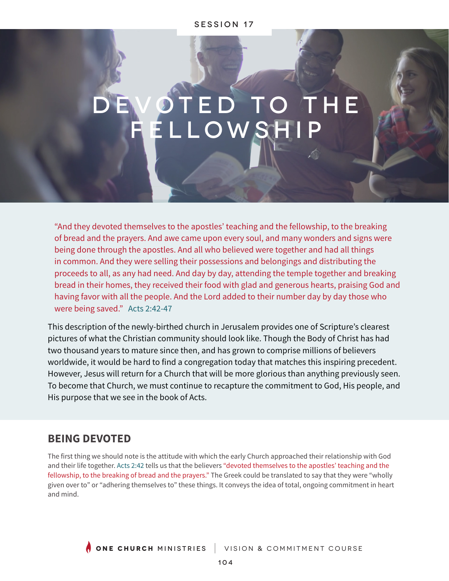## session 17

# ED TO THE ELLOWSH

"And they devoted themselves to the apostles' teaching and the fellowship, to the breaking of bread and the prayers. And awe came upon every soul, and many wonders and signs were being done through the apostles. And all who believed were together and had all things in common. And they were selling their possessions and belongings and distributing the proceeds to all, as any had need. And day by day, attending the temple together and breaking bread in their homes, they received their food with glad and generous hearts, praising God and having favor with all the people. And the Lord added to their number day by day those who were being saved." Acts 2:42-47

This description of the newly-birthed church in Jerusalem provides one of Scripture's clearest pictures of what the Christian community should look like. Though the Body of Christ has had two thousand years to mature since then, and has grown to comprise millions of believers worldwide, it would be hard to find a congregation today that matches this inspiring precedent. However, Jesus will return for a Church that will be more glorious than anything previously seen. To become that Church, we must continue to recapture the commitment to God, His people, and His purpose that we see in the book of Acts.

# **BEING DEVOTED**

The first thing we should note is the attitude with which the early Church approached their relationship with God and their life together. Acts 2:42 tells us that the believers "devoted themselves to the apostles' teaching and the fellowship, to the breaking of bread and the prayers." The Greek could be translated to say that they were "wholly given over to" or "adhering themselves to" these things. It conveys the idea of total, ongoing commitment in heart and mind.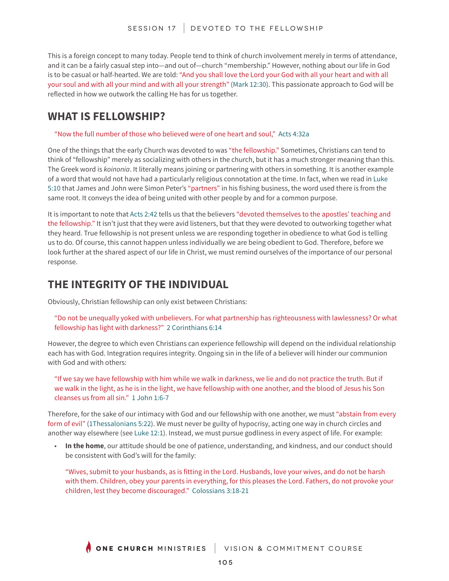This is a foreign concept to many today. People tend to think of church involvement merely in terms of attendance, and it can be a fairly casual step into—and out of—church "membership." However, nothing about our life in God is to be casual or half-hearted. We are told: "And you shall love the Lord your God with all your heart and with all your soul and with all your mind and with all your strength" (Mark 12:30). This passionate approach to God will be reflected in how we outwork the calling He has for us together.

# **WHAT IS FELLOWSHIP?**

"Now the full number of those who believed were of one heart and soul," Acts 4:32a

One of the things that the early Church was devoted to was "the fellowship." Sometimes, Christians can tend to think of "fellowship" merely as socializing with others in the church, but it has a much stronger meaning than this. The Greek word is *koinonia*. It literally means joining or partnering with others in something. It is another example of a word that would not have had a particularly religious connotation at the time. In fact, when we read in Luke 5:10 that James and John were Simon Peter's "partners" in his fishing business, the word used there is from the same root. It conveys the idea of being united with other people by and for a common purpose.

It is important to note that Acts 2:42 tells us that the believers "devoted themselves to the apostles' teaching and the fellowship." It isn't just that they were avid listeners, but that they were devoted to outworking together what they heard. True fellowship is not present unless we are responding together in obedience to what God is telling us to do. Of course, this cannot happen unless individually we are being obedient to God. Therefore, before we look further at the shared aspect of our life in Christ, we must remind ourselves of the importance of our personal response.

# **THE INTEGRITY OF THE INDIVIDUAL**

Obviously, Christian fellowship can only exist between Christians:

"Do not be unequally yoked with unbelievers. For what partnership has righteousness with lawlessness? Or what fellowship has light with darkness?" 2 Corinthians 6:14

However, the degree to which even Christians can experience fellowship will depend on the individual relationship each has with God. Integration requires integrity. Ongoing sin in the life of a believer will hinder our communion with God and with others:

"If we say we have fellowship with him while we walk in darkness, we lie and do not practice the truth. But if we walk in the light, as he is in the light, we have fellowship with one another, and the blood of Jesus his Son cleanses us from all sin." 1 John 1:6-7

Therefore, for the sake of our intimacy with God and our fellowship with one another, we must "abstain from every form of evil" (1Thessalonians 5:22). We must never be guilty of hypocrisy, acting one way in church circles and another way elsewhere (see Luke 12:1). Instead, we must pursue godliness in every aspect of life. For example:

• **In the home**, our attitude should be one of patience, understanding, and kindness, and our conduct should be consistent with God's will for the family:

"Wives, submit to your husbands, as is fitting in the Lord. Husbands, love your wives, and do not be harsh with them. Children, obey your parents in everything, for this pleases the Lord. Fathers, do not provoke your children, lest they become discouraged." Colossians 3:18-21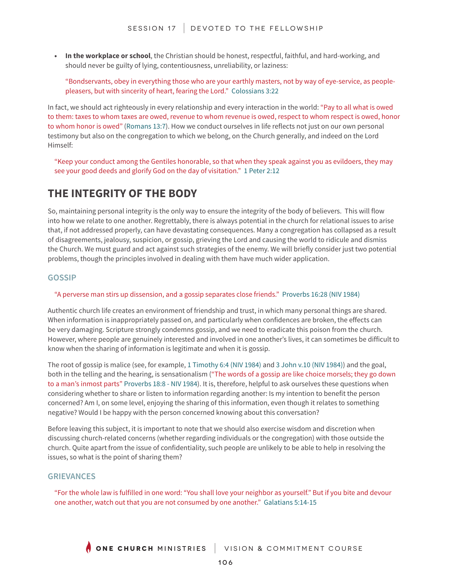**• In the workplace or school**, the Christian should be honest, respectful, faithful, and hard-working, and should never be guilty of lying, contentiousness, unreliability, or laziness:

"Bondservants, obey in everything those who are your earthly masters, not by way of eye-service, as peoplepleasers, but with sincerity of heart, fearing the Lord." Colossians 3:22

In fact, we should act righteously in every relationship and every interaction in the world: "Pay to all what is owed to them: taxes to whom taxes are owed, revenue to whom revenue is owed, respect to whom respect is owed, honor to whom honor is owed" (Romans 13:7). How we conduct ourselves in life reflects not just on our own personal testimony but also on the congregation to which we belong, on the Church generally, and indeed on the Lord Himself:

"Keep your conduct among the Gentiles honorable, so that when they speak against you as evildoers, they may see your good deeds and glorify God on the day of visitation." 1 Peter 2:12

# **THE INTEGRITY OF THE BODY**

So, maintaining personal integrity is the only way to ensure the integrity of the body of believers. This will flow into how we relate to one another. Regrettably, there is always potential in the church for relational issues to arise that, if not addressed properly, can have devastating consequences. Many a congregation has collapsed as a result of disagreements, jealousy, suspicion, or gossip, grieving the Lord and causing the world to ridicule and dismiss the Church. We must guard and act against such strategies of the enemy. We will briefly consider just two potential problems, though the principles involved in dealing with them have much wider application.

# **GOSSIP**

## "A perverse man stirs up dissension, and a gossip separates close friends." Proverbs 16:28 (NIV 1984)

Authentic church life creates an environment of friendship and trust, in which many personal things are shared. When information is inappropriately passed on, and particularly when confidences are broken, the effects can be very damaging. Scripture strongly condemns gossip, and we need to eradicate this poison from the church. However, where people are genuinely interested and involved in one another's lives, it can sometimes be difficult to know when the sharing of information is legitimate and when it is gossip.

The root of gossip is malice (see, for example, 1 Timothy 6:4 (NIV 1984) and 3 John v.10 (NIV 1984)) and the goal, both in the telling and the hearing, is sensationalism ("The words of a gossip are like choice morsels; they go down to a man's inmost parts" Proverbs 18:8 - NIV 1984). It is, therefore, helpful to ask ourselves these questions when considering whether to share or listen to information regarding another: Is my intention to benefit the person concerned? Am I, on some level, enjoying the sharing of this information, even though it relates to something negative? Would I be happy with the person concerned knowing about this conversation?

Before leaving this subject, it is important to note that we should also exercise wisdom and discretion when discussing church-related concerns (whether regarding individuals or the congregation) with those outside the church. Quite apart from the issue of confidentiality, such people are unlikely to be able to help in resolving the issues, so what is the point of sharing them?

## **GRIEVANCES**

"For the whole law is fulfilled in one word: "You shall love your neighbor as yourself." But if you bite and devour one another, watch out that you are not consumed by one another." Galatians 5:14-15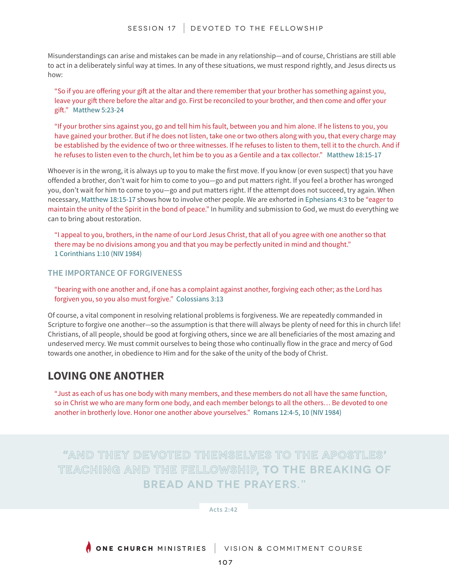Misunderstandings can arise and mistakes can be made in any relationship—and of course, Christians are still able to act in a deliberately sinful way at times. In any of these situations, we must respond rightly, and Jesus directs us how:

"So if you are offering your gift at the altar and there remember that your brother has something against you, leave your gift there before the altar and go. First be reconciled to your brother, and then come and offer your gift." Matthew 5:23-24

"If your brother sins against you, go and tell him his fault, between you and him alone. If he listens to you, you have gained your brother. But if he does not listen, take one or two others along with you, that every charge may be established by the evidence of two or three witnesses. If he refuses to listen to them, tell it to the church. And if he refuses to listen even to the church, let him be to you as a Gentile and a tax collector." Matthew 18:15-17

Whoever is in the wrong, it is always up to you to make the first move. If you know (or even suspect) that you have offended a brother, don't wait for him to come to you—go and put matters right. If you feel a brother has wronged you, don't wait for him to come to you—go and put matters right. If the attempt does not succeed, try again. When necessary, Matthew 18:15-17 shows how to involve other people. We are exhorted in Ephesians 4:3 to be "eager to maintain the unity of the Spirit in the bond of peace." In humility and submission to God, we must do everything we can to bring about restoration.

"I appeal to you, brothers, in the name of our Lord Jesus Christ, that all of you agree with one another so that there may be no divisions among you and that you may be perfectly united in mind and thought." 1 Corinthians 1:10 (NIV 1984)

**THE IMPORTANCE OF FORGIVENESS**

"bearing with one another and, if one has a complaint against another, forgiving each other; as the Lord has forgiven you, so you also must forgive." Colossians 3:13

Of course, a vital component in resolving relational problems is forgiveness. We are repeatedly commanded in Scripture to forgive one another—so the assumption is that there will always be plenty of need for this in church life! Christians, of all people, should be good at forgiving others, since we are all beneficiaries of the most amazing and undeserved mercy. We must commit ourselves to being those who continually flow in the grace and mercy of God towards one another, in obedience to Him and for the sake of the unity of the body of Christ.

# **LOVING ONE ANOTHER**

"Just as each of us has one body with many members, and these members do not all have the same function, so in Christ we who are many form one body, and each member belongs to all the others... Be devoted to one another in brotherly love. Honor one another above yourselves." Romans 12:4-5, 10 (NIV 1984)

# **"And they devoted themselves to the apostles' teaching and the fellowship, to the breaking of bread and the prayers."**

**Acts 2:42** 

**ONE CHURCH** MINISTRIES | VISION & COMMITMENT COURSE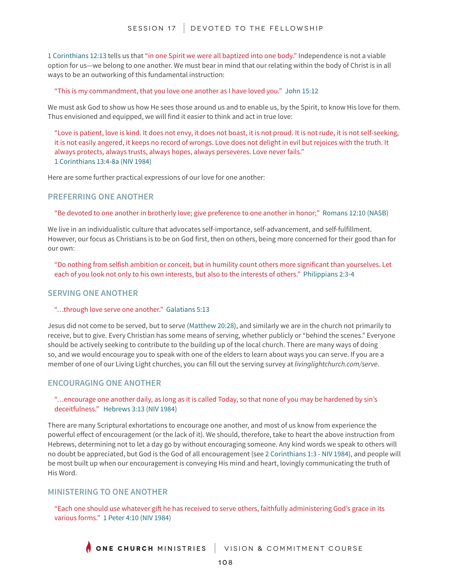1 Corinthians 12:13 tells us that "in one Spirit we were all baptized into one body." Independence is not a viable option for us—we belong to one another. We must bear in mind that our relating within the body of Christ is in all ways to be an outworking of this fundamental instruction:

#### "This is my commandment, that you love one another as I have loved you." John 15:12

We must ask God to show us how He sees those around us and to enable us, by the Spirit, to know His love for them. Thus envisioned and equipped, we will find it easier to think and act in true love:

"Love is patient, love is kind. It does not envy, it does not boast, it is not proud. It is not rude, it is not self-seeking, it is not easily angered, it keeps no record of wrongs. Love does not delight in evil but rejoices with the truth. It always protects, always trusts, always hopes, always perseveres. Love never fails." 1 Corinthians 13:4-8a (NIV 1984)

Here are some further practical expressions of our love for one another:

# **PREFERRING ONE ANOTHER**

"Be devoted to one another in brotherly love; give preference to one another in honor;" Romans 12:10 (NASB)

We live in an individualistic culture that advocates self-importance, self-advancement, and self-fulfillment. However, our focus as Christians is to be on God first, then on others, being more concerned for their good than for our own:

"Do nothing from selfish ambition or conceit, but in humility count others more significant than yourselves. Let each of you look not only to his own interests, but also to the interests of others." Philippians 2:3-4

## **SERVING ONE ANOTHER**

#### "…through love serve one another." Galatians 5:13

Jesus did not come to be served, but to serve (Matthew 20:28), and similarly we are in the church not primarily to receive, but to give. Every Christian has some means of serving, whether publicly or "behind the scenes." Everyone should be actively seeking to contribute to the building up of the local church. There are many ways of doing so, and we would encourage you to speak with one of the elders to learn about ways you can serve. If you are a member of one of our Living Light churches, you can fill out the serving survey at *livinglightchurch.com/serve*.

## **ENCOURAGING ONE ANOTHER**

#### "…encourage one another daily, as long as it is called Today, so that none of you may be hardened by sin's deceitfulness." Hebrews 3:13 (NIV 1984)

There are many Scriptural exhortations to encourage one another, and most of us know from experience the powerful effect of encouragement (or the lack of it). We should, therefore, take to heart the above instruction from Hebrews, determining not to let a day go by without encouraging someone. Any kind words we speak to others will no doubt be appreciated, but God is the God of all encouragement (see 2 Corinthians 1:3 - NIV 1984), and people will be most built up when our encouragement is conveying His mind and heart, lovingly communicating the truth of His Word.

## **MINISTERING TO ONE ANOTHER**

"Each one should use whatever gift he has received to serve others, faithfully administering God's grace in its various forms." 1 Peter 4:10 (NIV 1984)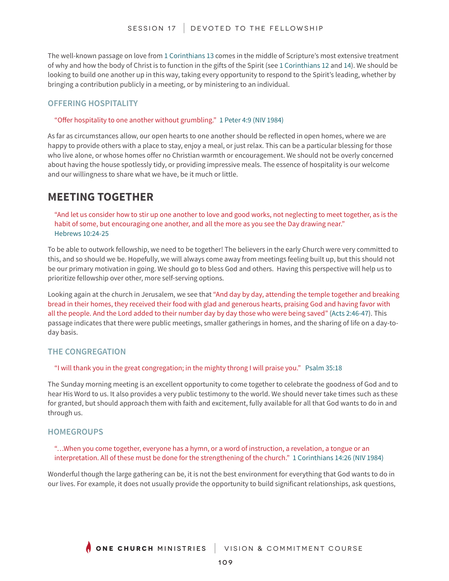The well-known passage on love from 1 Corinthians 13 comes in the middle of Scripture's most extensive treatment of why and how the body of Christ is to function in the gifts of the Spirit (see 1 Corinthians 12 and 14). We should be looking to build one another up in this way, taking every opportunity to respond to the Spirit's leading, whether by bringing a contribution publicly in a meeting, or by ministering to an individual.

# **OFFERING HOSPITALITY**

#### "Offer hospitality to one another without grumbling." 1 Peter 4:9 (NIV 1984)

As far as circumstances allow, our open hearts to one another should be reflected in open homes, where we are happy to provide others with a place to stay, enjoy a meal, or just relax. This can be a particular blessing for those who live alone, or whose homes offer no Christian warmth or encouragement. We should not be overly concerned about having the house spotlessly tidy, or providing impressive meals. The essence of hospitality is our welcome and our willingness to share what we have, be it much or little.

# **MEETING TOGETHER**

"And let us consider how to stir up one another to love and good works, not neglecting to meet together, as is the habit of some, but encouraging one another, and all the more as you see the Day drawing near." Hebrews 10:24-25

To be able to outwork fellowship, we need to be together! The believers in the early Church were very committed to this, and so should we be. Hopefully, we will always come away from meetings feeling built up, but this should not be our primary motivation in going. We should go to bless God and others. Having this perspective will help us to prioritize fellowship over other, more self-serving options.

Looking again at the church in Jerusalem, we see that "And day by day, attending the temple together and breaking bread in their homes, they received their food with glad and generous hearts, praising God and having favor with all the people. And the Lord added to their number day by day those who were being saved" (Acts 2:46-47). This passage indicates that there were public meetings, smaller gatherings in homes, and the sharing of life on a day-today basis.

## **THE CONGREGATION**

#### "I will thank you in the great congregation; in the mighty throng I will praise you." Psalm 35:18

The Sunday morning meeting is an excellent opportunity to come together to celebrate the goodness of God and to hear His Word to us. It also provides a very public testimony to the world. We should never take times such as these for granted, but should approach them with faith and excitement, fully available for all that God wants to do in and through us.

## **HOMEGROUPS**

## "…When you come together, everyone has a hymn, or a word of instruction, a revelation, a tongue or an interpretation. All of these must be done for the strengthening of the church." 1 Corinthians 14:26 (NIV 1984)

Wonderful though the large gathering can be, it is not the best environment for everything that God wants to do in our lives. For example, it does not usually provide the opportunity to build significant relationships, ask questions,